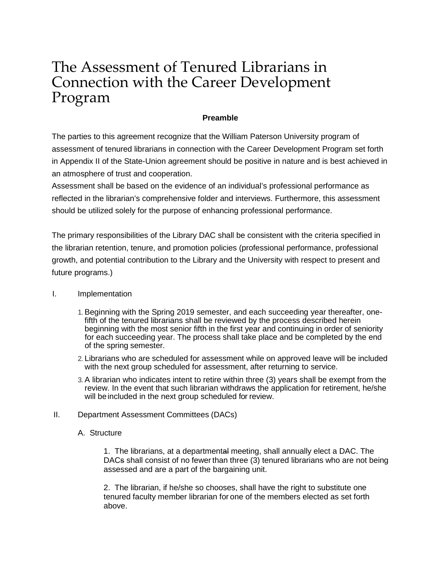# The Assessment of Tenured Librarians in Connection with the Career Development Program

## **Preamble**

The parties to this agreement recognize that the William Paterson University program of assessment of tenured librarians in connection with the Career Development Program set forth in Appendix II of the State-Union agreement should be positive in nature and is best achieved in an atmosphere of trust and cooperation.

Assessment shall be based on the evidence of an individual's professional performance as reflected in the librarian's comprehensive folder and interviews. Furthermore, this assessment should be utilized solely for the purpose of enhancing professional performance.

The primary responsibilities of the Library DAC shall be consistent with the criteria specified in the librarian retention, tenure, and promotion policies (professional performance, professional growth, and potential contribution to the Library and the University with respect to present and future programs.)

## I. Implementation

- 1. Beginning with the Spring 2019 semester, and each succeeding year thereafter, onefifth of the tenured librarians shall be reviewed by the process described herein beginning with the most senior fifth in the first year and continuing in order of seniority for each succeeding year. The process shall take place and be completed by the end of the spring semester.
- 2. Librarians who are scheduled for assessment while on approved leave will be included with the next group scheduled for assessment, after returning to service.
- 3. A librarian who indicates intent to retire within three (3) years shall be exempt from the review. In the event that such librarian withdraws the application for retirement, he/she will be included in the next group scheduled for review.

### II. Department Assessment Committees (DACs)

### A. Structure

1. The librarians, at a departmental meeting, shall annually elect a DAC. The DACs shall consist of no fewer than three (3) tenured librarians who are not being assessed and are a part of the bargaining unit.

2. The librarian, if he/she so chooses, shall have the right to substitute one tenured faculty member librarian for one of the members elected as set forth above.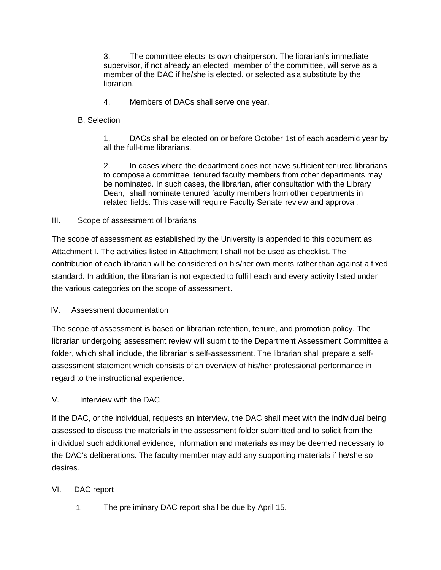3. The committee elects its own chairperson. The librarian's immediate supervisor, if not already an elected member of the committee, will serve as a member of the DAC if he/she is elected, or selected as a substitute by the librarian.

4. Members of DACs shall serve one year.

# B. Selection

1. DACs shall be elected on or before October 1st of each academic year by all the full-time librarians.

2. In cases where the department does not have sufficient tenured librarians to compose a committee, tenured faculty members from other departments may be nominated. In such cases, the librarian, after consultation with the Library Dean, shall nominate tenured faculty members from other departments in related fields. This case will require Faculty Senate review and approval.

# III. Scope of assessment of librarians

The scope of assessment as established by the University is appended to this document as Attachment I. The activities listed in Attachment I shall not be used as checklist. The contribution of each librarian will be considered on his/her own merits rather than against a fixed standard. In addition, the librarian is not expected to fulfill each and every activity listed under the various categories on the scope of assessment.

# IV. Assessment documentation

The scope of assessment is based on librarian retention, tenure, and promotion policy. The librarian undergoing assessment review will submit to the Department Assessment Committee a folder, which shall include, the librarian's self-assessment. The librarian shall prepare a selfassessment statement which consists of an overview of his/her professional performance in regard to the instructional experience.

# V. Interview with the DAC

If the DAC, or the individual, requests an interview, the DAC shall meet with the individual being assessed to discuss the materials in the assessment folder submitted and to solicit from the individual such additional evidence, information and materials as may be deemed necessary to the DAC's deliberations. The faculty member may add any supporting materials if he/she so desires.

# VI. DAC report

1. The preliminary DAC report shall be due by April 15.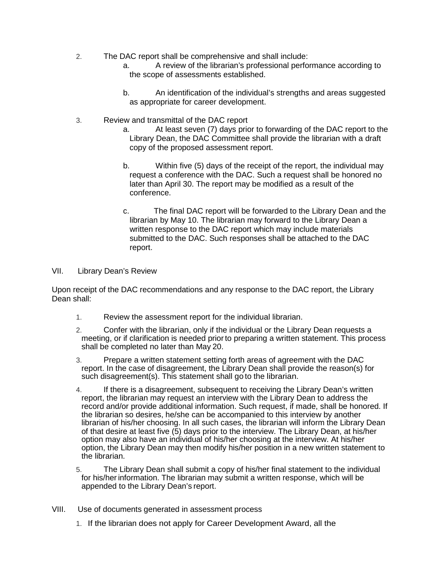- 2. The DAC report shall be comprehensive and shall include:
	- a. A review of the librarian's professional performance according to the scope of assessments established.
	- b. An identification of the individual's strengths and areas suggested as appropriate for career development.
- 3. Review and transmittal of the DAC report
	- a. At least seven (7) days prior to forwarding of the DAC report to the Library Dean, the DAC Committee shall provide the librarian with a draft copy of the proposed assessment report.
	- b. Within five (5) days of the receipt of the report, the individual may request a conference with the DAC. Such a request shall be honored no later than April 30. The report may be modified as a result of the conference.
	- c. The final DAC report will be forwarded to the Library Dean and the librarian by May 10. The librarian may forward to the Library Dean a written response to the DAC report which may include materials submitted to the DAC. Such responses shall be attached to the DAC report.

### VII. Library Dean's Review

Upon receipt of the DAC recommendations and any response to the DAC report, the Library Dean shall:

- 1. Review the assessment report for the individual librarian.
- 2. Confer with the librarian, only if the individual or the Library Dean requests a meeting, or if clarification is needed priorto preparing a written statement. This process shall be completed no later than May 20.
- 3. Prepare a written statement setting forth areas of agreement with the DAC report. In the case of disagreement, the Library Dean shall provide the reason(s) for such disagreement(s). This statement shall go to the librarian.
- 4. If there is a disagreement, subsequent to receiving the Library Dean's written report, the librarian may request an interview with the Library Dean to address the record and/or provide additional information. Such request, if made, shall be honored. If the librarian so desires, he/she can be accompanied to this interview by another librarian of his/her choosing. In all such cases, the librarian will inform the Library Dean of that desire at least five (5) days prior to the interview. The Library Dean, at his/her option may also have an individual of his/her choosing at the interview. At his/her option, the Library Dean may then modify his/her position in a new written statement to the librarian.
- 5. The Library Dean shall submit a copy of his/her final statement to the individual for his/her information. The librarian may submit a written response, which will be appended to the Library Dean's report.
- VIII. Use of documents generated in assessment process
	- 1. If the librarian does not apply for Career Development Award, all the